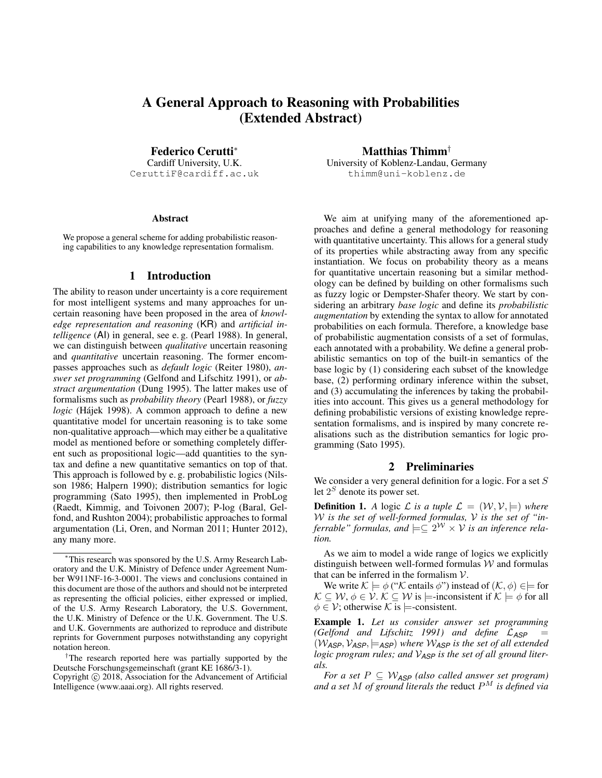# A General Approach to Reasoning with Probabilities (Extended Abstract)

Federico Cerutti<sup>∗</sup> Cardiff University, U.K. CeruttiF@cardiff.ac.uk

#### Abstract

We propose a general scheme for adding probabilistic reasoning capabilities to any knowledge representation formalism.

## 1 Introduction

The ability to reason under uncertainty is a core requirement for most intelligent systems and many approaches for uncertain reasoning have been proposed in the area of *knowledge representation and reasoning* (KR) and *artificial intelligence* (AI) in general, see e. g. (Pearl 1988). In general, we can distinguish between *qualitative* uncertain reasoning and *quantitative* uncertain reasoning. The former encompasses approaches such as *default logic* (Reiter 1980), *answer set programming* (Gelfond and Lifschitz 1991), or *abstract argumentation* (Dung 1995). The latter makes use of formalisms such as *probability theory* (Pearl 1988), or *fuzzy* logic (Hájek 1998). A common approach to define a new quantitative model for uncertain reasoning is to take some non-qualitative approach—which may either be a qualitative model as mentioned before or something completely different such as propositional logic—add quantities to the syntax and define a new quantitative semantics on top of that. This approach is followed by e. g. probabilistic logics (Nilsson 1986; Halpern 1990); distribution semantics for logic programming (Sato 1995), then implemented in ProbLog (Raedt, Kimmig, and Toivonen 2007); P-log (Baral, Gelfond, and Rushton 2004); probabilistic approaches to formal argumentation (Li, Oren, and Norman 2011; Hunter 2012), any many more.

<sup>†</sup>The research reported here was partially supported by the Deutsche Forschungsgemeinschaft (grant KE 1686/3-1).

Matthias Thimm† University of Koblenz-Landau, Germany thimm@uni-koblenz.de

We aim at unifying many of the aforementioned approaches and define a general methodology for reasoning with quantitative uncertainty. This allows for a general study of its properties while abstracting away from any specific instantiation. We focus on probability theory as a means for quantitative uncertain reasoning but a similar methodology can be defined by building on other formalisms such as fuzzy logic or Dempster-Shafer theory. We start by considering an arbitrary *base logic* and define its *probabilistic augmentation* by extending the syntax to allow for annotated probabilities on each formula. Therefore, a knowledge base of probabilistic augmentation consists of a set of formulas, each annotated with a probability. We define a general probabilistic semantics on top of the built-in semantics of the base logic by (1) considering each subset of the knowledge base, (2) performing ordinary inference within the subset, and (3) accumulating the inferences by taking the probabilities into account. This gives us a general methodology for defining probabilistic versions of existing knowledge representation formalisms, and is inspired by many concrete realisations such as the distribution semantics for logic programming (Sato 1995).

#### 2 Preliminaries

We consider a very general definition for a logic. For a set  $S$ let  $2<sup>S</sup>$  denote its power set.

**Definition 1.** A logic L is a tuple  $\mathcal{L} = (\mathcal{W}, \mathcal{V}, \models)$  where W *is the set of well-formed formulas,* V *is the set of "inferrable" formulas, and*  $\models \subseteq 2^{\mathcal{W}} \times \mathcal{V}$  *is an inference relation.*

As we aim to model a wide range of logics we explicitly distinguish between well-formed formulas  $W$  and formulas that can be inferred in the formalism  $V$ .

We write  $\mathcal{K} \models \phi$  (" $\mathcal{K}$  entails  $\phi$ ") instead of  $(\mathcal{K}, \phi) \in \models$  for  $\mathcal{K} \subseteq \mathcal{W}, \phi \in \mathcal{V}. \mathcal{K} \subseteq \mathcal{W}$  is  $\models$ -inconsistent if  $\mathcal{K} \models \phi$  for all  $\phi \in \mathcal{V}$ ; otherwise K is  $\models$ -consistent.

Example 1. *Let us consider answer set programming (Gelfond and Lifschitz 1991) and define* L*ASP* =  $(W_{\text{ASP}}, V_{\text{ASP}}, \models_{\text{ASP}})$  where  $W_{\text{ASP}}$  is the set of all extended *logic program rules; and* V*ASP is the set of all ground literals.*

*For a set*  $P \subseteq W_{\text{ASP}}$  *(also called answer set program)* and a set M of ground literals the reduct  $P^M$  is defined via

<sup>∗</sup>This research was sponsored by the U.S. Army Research Laboratory and the U.K. Ministry of Defence under Agreement Number W911NF-16-3-0001. The views and conclusions contained in this document are those of the authors and should not be interpreted as representing the official policies, either expressed or implied, of the U.S. Army Research Laboratory, the U.S. Government, the U.K. Ministry of Defence or the U.K. Government. The U.S. and U.K. Governments are authorized to reproduce and distribute reprints for Government purposes notwithstanding any copyright notation hereon.

Copyright © 2018, Association for the Advancement of Artificial Intelligence (www.aaai.org). All rights reserved.